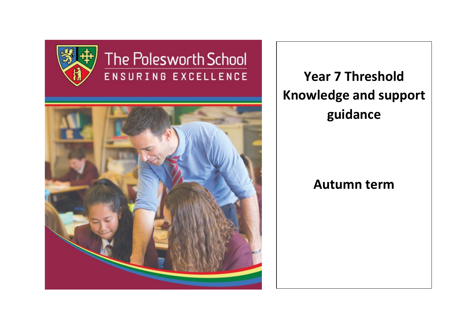

# The Polesworth School ENSURING EXCELLENCE



**Year 7 Threshold Knowledge and support guidance**

## **Autumn term**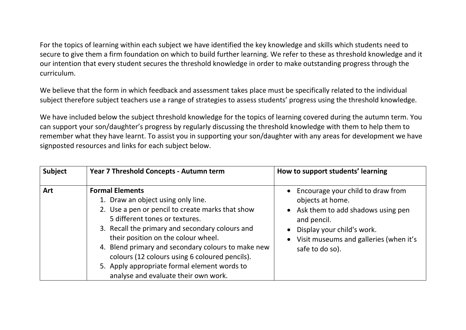For the topics of learning within each subject we have identified the key knowledge and skills which students need to secure to give them a firm foundation on which to build further learning. We refer to these as threshold knowledge and it our intention that every student secures the threshold knowledge in order to make outstanding progress through the curriculum.

We believe that the form in which feedback and assessment takes place must be specifically related to the individual subject therefore subject teachers use a range of strategies to assess students' progress using the threshold knowledge.

We have included below the subject threshold knowledge for the topics of learning covered during the autumn term. You can support your son/daughter's progress by regularly discussing the threshold knowledge with them to help them to remember what they have learnt. To assist you in supporting your son/daughter with any areas for development we have signposted resources and links for each subject below.

| <b>Subject</b> | Year 7 Threshold Concepts - Autumn term                                                                                                                                                                                                                                                                                                                                                                                                      | How to support students' learning                                                                                                                                                                      |
|----------------|----------------------------------------------------------------------------------------------------------------------------------------------------------------------------------------------------------------------------------------------------------------------------------------------------------------------------------------------------------------------------------------------------------------------------------------------|--------------------------------------------------------------------------------------------------------------------------------------------------------------------------------------------------------|
| Art            | <b>Formal Elements</b><br>1. Draw an object using only line.<br>2. Use a pen or pencil to create marks that show<br>5 different tones or textures.<br>3. Recall the primary and secondary colours and<br>their position on the colour wheel.<br>4. Blend primary and secondary colours to make new<br>colours (12 colours using 6 coloured pencils).<br>5. Apply appropriate formal element words to<br>analyse and evaluate their own work. | Encourage your child to draw from<br>objects at home.<br>• Ask them to add shadows using pen<br>and pencil.<br>Display your child's work.<br>Visit museums and galleries (when it's<br>safe to do so). |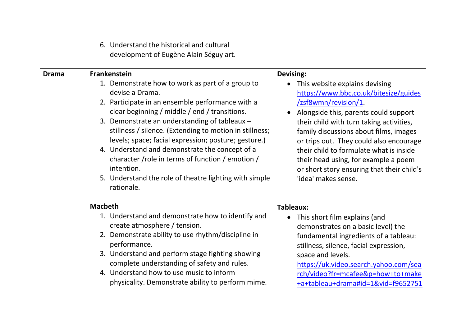|              | 6. Understand the historical and cultural<br>development of Eugène Alain Séguy art.                                                                                                                                                                                                                                                                                                                                                                                                                                                                             |                                                                                                                                                                                                                                                                                                                                                                                                                                                            |
|--------------|-----------------------------------------------------------------------------------------------------------------------------------------------------------------------------------------------------------------------------------------------------------------------------------------------------------------------------------------------------------------------------------------------------------------------------------------------------------------------------------------------------------------------------------------------------------------|------------------------------------------------------------------------------------------------------------------------------------------------------------------------------------------------------------------------------------------------------------------------------------------------------------------------------------------------------------------------------------------------------------------------------------------------------------|
| <b>Drama</b> | <b>Frankenstein</b><br>1. Demonstrate how to work as part of a group to<br>devise a Drama.<br>2. Participate in an ensemble performance with a<br>clear beginning / middle / end / transitions.<br>3. Demonstrate an understanding of tableaux -<br>stillness / silence. (Extending to motion in stillness;<br>levels; space; facial expression; posture; gesture.)<br>4. Understand and demonstrate the concept of a<br>character /role in terms of function / emotion /<br>intention.<br>5. Understand the role of theatre lighting with simple<br>rationale. | Devising:<br>This website explains devising<br>$\bullet$<br>https://www.bbc.co.uk/bitesize/guides<br>/zsf8wmn/revision/1<br>Alongside this, parents could support<br>their child with turn taking activities,<br>family discussions about films, images<br>or trips out. They could also encourage<br>their child to formulate what is inside<br>their head using, for example a poem<br>or short story ensuring that their child's<br>'idea' makes sense. |
|              | <b>Macbeth</b>                                                                                                                                                                                                                                                                                                                                                                                                                                                                                                                                                  | <b>Tableaux:</b>                                                                                                                                                                                                                                                                                                                                                                                                                                           |
|              | 1. Understand and demonstrate how to identify and<br>create atmosphere / tension.<br>2. Demonstrate ability to use rhythm/discipline in<br>performance.<br>3. Understand and perform stage fighting showing<br>complete understanding of safety and rules.<br>4. Understand how to use music to inform<br>physicality. Demonstrate ability to perform mime.                                                                                                                                                                                                     | This short film explains (and<br>$\bullet$<br>demonstrates on a basic level) the<br>fundamental ingredients of a tableau:<br>stillness, silence, facial expression,<br>space and levels.<br>https://uk.video.search.yahoo.com/sea<br>rch/video?fr=mcafee&p=how+to+make<br>+a+tableau+drama#id=1&vid=f9652751                                                                                                                                               |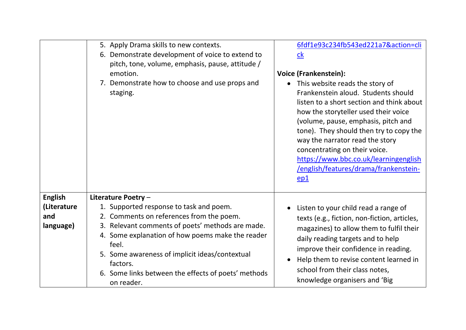|                                                   | 5. Apply Drama skills to new contexts.<br>6. Demonstrate development of voice to extend to<br>pitch, tone, volume, emphasis, pause, attitude /<br>emotion.<br>7. Demonstrate how to choose and use props and<br>staging.                                                                                                                                       | 6fdf1e93c234fb543ed221a7&action=cli<br>c <sub>k</sub><br><b>Voice (Frankenstein):</b><br>• This website reads the story of<br>Frankenstein aloud. Students should<br>listen to a short section and think about<br>how the storyteller used their voice<br>(volume, pause, emphasis, pitch and<br>tone). They should then try to copy the<br>way the narrator read the story<br>concentrating on their voice.<br>https://www.bbc.co.uk/learningenglish<br>/english/features/drama/frankenstein-<br>ep1 |
|---------------------------------------------------|----------------------------------------------------------------------------------------------------------------------------------------------------------------------------------------------------------------------------------------------------------------------------------------------------------------------------------------------------------------|-------------------------------------------------------------------------------------------------------------------------------------------------------------------------------------------------------------------------------------------------------------------------------------------------------------------------------------------------------------------------------------------------------------------------------------------------------------------------------------------------------|
| <b>English</b><br>(Literature<br>and<br>language) | Literature Poetry -<br>1. Supported response to task and poem.<br>2. Comments on references from the poem.<br>3. Relevant comments of poets' methods are made.<br>4. Some explanation of how poems make the reader<br>feel.<br>5. Some awareness of implicit ideas/contextual<br>factors.<br>6. Some links between the effects of poets' methods<br>on reader. | Listen to your child read a range of<br>texts (e.g., fiction, non-fiction, articles,<br>magazines) to allow them to fulfil their<br>daily reading targets and to help<br>improve their confidence in reading.<br>Help them to revise content learned in<br>school from their class notes,<br>knowledge organisers and 'Big                                                                                                                                                                            |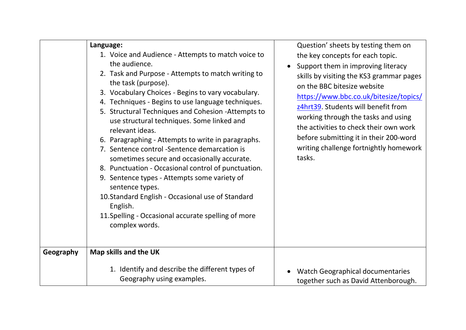|           | Language:<br>1. Voice and Audience - Attempts to match voice to<br>the audience.<br>2. Task and Purpose - Attempts to match writing to<br>the task (purpose).<br>3. Vocabulary Choices - Begins to vary vocabulary.<br>4. Techniques - Begins to use language techniques.<br>5. Structural Techniques and Cohesion -Attempts to<br>use structural techniques. Some linked and<br>relevant ideas.<br>6. Paragraphing - Attempts to write in paragraphs.<br>7. Sentence control -Sentence demarcation is<br>sometimes secure and occasionally accurate.<br>8. Punctuation - Occasional control of punctuation.<br>9. Sentence types - Attempts some variety of<br>sentence types.<br>10. Standard English - Occasional use of Standard<br>English.<br>11. Spelling - Occasional accurate spelling of more<br>complex words. | Question' sheets by testing them on<br>the key concepts for each topic.<br>Support them in improving literacy<br>skills by visiting the KS3 grammar pages<br>on the BBC bitesize website<br>https://www.bbc.co.uk/bitesize/topics/<br>z4hrt39. Students will benefit from<br>working through the tasks and using<br>the activities to check their own work<br>before submitting it in their 200-word<br>writing challenge fortnightly homework<br>tasks. |
|-----------|---------------------------------------------------------------------------------------------------------------------------------------------------------------------------------------------------------------------------------------------------------------------------------------------------------------------------------------------------------------------------------------------------------------------------------------------------------------------------------------------------------------------------------------------------------------------------------------------------------------------------------------------------------------------------------------------------------------------------------------------------------------------------------------------------------------------------|----------------------------------------------------------------------------------------------------------------------------------------------------------------------------------------------------------------------------------------------------------------------------------------------------------------------------------------------------------------------------------------------------------------------------------------------------------|
| Geography | Map skills and the UK                                                                                                                                                                                                                                                                                                                                                                                                                                                                                                                                                                                                                                                                                                                                                                                                     |                                                                                                                                                                                                                                                                                                                                                                                                                                                          |
|           | 1. Identify and describe the different types of<br>Geography using examples.                                                                                                                                                                                                                                                                                                                                                                                                                                                                                                                                                                                                                                                                                                                                              | Watch Geographical documentaries<br>together such as David Attenborough.                                                                                                                                                                                                                                                                                                                                                                                 |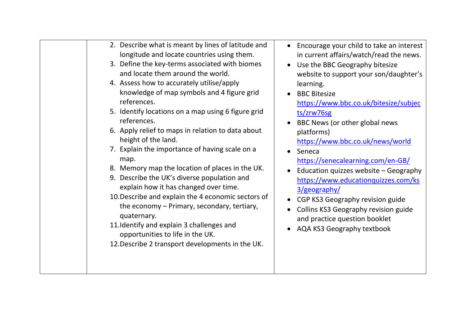| 2. Describe what is meant by lines of latitude and<br>Encourage your child to take an interest<br>$\bullet$<br>longitude and locate countries using them.<br>in current affairs/watch/read the news.<br>3. Define the key-terms associated with biomes<br>Use the BBC Geography bitesize<br>$\bullet$<br>and locate them around the world.<br>website to support your son/daughter's<br>4. Assess how to accurately utilise/apply<br>learning.<br>knowledge of map symbols and 4 figure grid<br><b>BBC Bitesize</b><br>$\bullet$<br>references.<br>https://www.bbc.co.uk/bitesize/subjec<br>5. Identify locations on a map using 6 figure grid<br>ts/zrw76sg<br>references.<br>BBC News (or other global news<br>6. Apply relief to maps in relation to data about<br>platforms)<br>height of the land.<br>https://www.bbc.co.uk/news/world<br>7. Explain the importance of having scale on a<br>Seneca<br>$\bullet$<br>map.<br>https://senecalearning.com/en-GB/<br>8. Memory map the location of places in the UK.<br>Education quizzes website - Geography<br>9. Describe the UK's diverse population and<br>https://www.educationquizzes.com/ks<br>explain how it has changed over time.<br>3/geography/<br>10. Describe and explain the 4 economic sectors of<br>CGP KS3 Geography revision guide<br>$\bullet$<br>the economy – Primary, secondary, tertiary,<br>Collins KS3 Geography revision guide<br>$\bullet$<br>quaternary.<br>and practice question booklet<br>11. Identify and explain 3 challenges and<br>AQA KS3 Geography textbook<br>opportunities to life in the UK.<br>12. Describe 2 transport developments in the UK. |  |
|--------------------------------------------------------------------------------------------------------------------------------------------------------------------------------------------------------------------------------------------------------------------------------------------------------------------------------------------------------------------------------------------------------------------------------------------------------------------------------------------------------------------------------------------------------------------------------------------------------------------------------------------------------------------------------------------------------------------------------------------------------------------------------------------------------------------------------------------------------------------------------------------------------------------------------------------------------------------------------------------------------------------------------------------------------------------------------------------------------------------------------------------------------------------------------------------------------------------------------------------------------------------------------------------------------------------------------------------------------------------------------------------------------------------------------------------------------------------------------------------------------------------------------------------------------------------------------------------------------------------------------------------|--|
|                                                                                                                                                                                                                                                                                                                                                                                                                                                                                                                                                                                                                                                                                                                                                                                                                                                                                                                                                                                                                                                                                                                                                                                                                                                                                                                                                                                                                                                                                                                                                                                                                                            |  |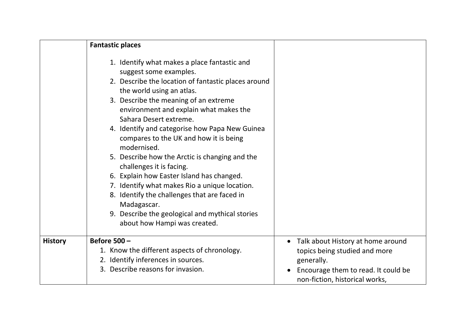|                | <b>Fantastic places</b>                                                                                                                                                                                                                                                                                                                                                                                                                                                                                                                                                                                                                                                                                          |                                                                       |
|----------------|------------------------------------------------------------------------------------------------------------------------------------------------------------------------------------------------------------------------------------------------------------------------------------------------------------------------------------------------------------------------------------------------------------------------------------------------------------------------------------------------------------------------------------------------------------------------------------------------------------------------------------------------------------------------------------------------------------------|-----------------------------------------------------------------------|
|                | 1. Identify what makes a place fantastic and<br>suggest some examples.<br>2. Describe the location of fantastic places around<br>the world using an atlas.<br>3. Describe the meaning of an extreme<br>environment and explain what makes the<br>Sahara Desert extreme.<br>4. Identify and categorise how Papa New Guinea<br>compares to the UK and how it is being<br>modernised.<br>5. Describe how the Arctic is changing and the<br>challenges it is facing.<br>6. Explain how Easter Island has changed.<br>7. Identify what makes Rio a unique location.<br>8. Identify the challenges that are faced in<br>Madagascar.<br>9. Describe the geological and mythical stories<br>about how Hampi was created. |                                                                       |
| <b>History</b> | <b>Before 500 -</b>                                                                                                                                                                                                                                                                                                                                                                                                                                                                                                                                                                                                                                                                                              | Talk about History at home around<br>$\bullet$                        |
|                | 1. Know the different aspects of chronology.<br>2. Identify inferences in sources.                                                                                                                                                                                                                                                                                                                                                                                                                                                                                                                                                                                                                               | topics being studied and more<br>generally.                           |
|                | 3. Describe reasons for invasion.                                                                                                                                                                                                                                                                                                                                                                                                                                                                                                                                                                                                                                                                                | Encourage them to read. It could be<br>non-fiction, historical works, |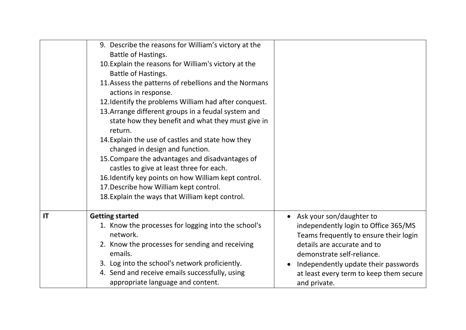|    | 9. Describe the reasons for William's victory at the<br>Battle of Hastings.<br>10. Explain the reasons for William's victory at the<br>Battle of Hastings.<br>11. Assess the patterns of rebellions and the Normans<br>actions in response.<br>12. Identify the problems William had after conquest.<br>13. Arrange different groups in a feudal system and<br>state how they benefit and what they must give in<br>return.<br>14. Explain the use of castles and state how they<br>changed in design and function.<br>15. Compare the advantages and disadvantages of<br>castles to give at least three for each.<br>16. Identify key points on how William kept control.<br>17. Describe how William kept control.<br>18. Explain the ways that William kept control. |                                                                                                                                                                                                                                                                              |
|----|-------------------------------------------------------------------------------------------------------------------------------------------------------------------------------------------------------------------------------------------------------------------------------------------------------------------------------------------------------------------------------------------------------------------------------------------------------------------------------------------------------------------------------------------------------------------------------------------------------------------------------------------------------------------------------------------------------------------------------------------------------------------------|------------------------------------------------------------------------------------------------------------------------------------------------------------------------------------------------------------------------------------------------------------------------------|
| IT | <b>Getting started</b><br>1. Know the processes for logging into the school's<br>network.<br>2. Know the processes for sending and receiving<br>emails.<br>3. Log into the school's network proficiently.<br>4. Send and receive emails successfully, using<br>appropriate language and content.                                                                                                                                                                                                                                                                                                                                                                                                                                                                        | • Ask your son/daughter to<br>independently login to Office 365/MS<br>Teams frequently to ensure their login<br>details are accurate and to<br>demonstrate self-reliance.<br>Independently update their passwords<br>at least every term to keep them secure<br>and private. |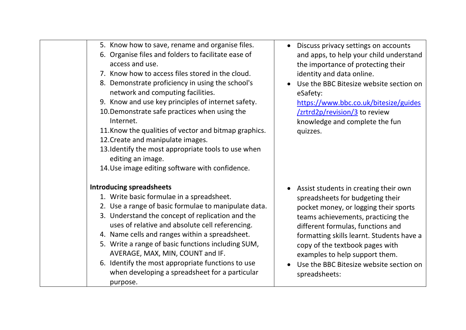| 5. Know how to save, rename and organise files.<br>6. Organise files and folders to facilitate ease of<br>access and use.<br>7. Know how to access files stored in the cloud.<br>8. Demonstrate proficiency in using the school's<br>network and computing facilities.<br>9. Know and use key principles of internet safety.<br>10. Demonstrate safe practices when using the<br>Internet.<br>11. Know the qualities of vector and bitmap graphics.<br>12. Create and manipulate images.<br>13. Identify the most appropriate tools to use when<br>editing an image.<br>14. Use image editing software with confidence. | Discuss privacy settings on accounts<br>and apps, to help your child understand<br>the importance of protecting their<br>identity and data online.<br>Use the BBC Bitesize website section on<br>eSafety:<br>https://www.bbc.co.uk/bitesize/guides<br>/zrtrd2p/revision/3 to review<br>knowledge and complete the fun<br>quizzes.                                           |
|-------------------------------------------------------------------------------------------------------------------------------------------------------------------------------------------------------------------------------------------------------------------------------------------------------------------------------------------------------------------------------------------------------------------------------------------------------------------------------------------------------------------------------------------------------------------------------------------------------------------------|-----------------------------------------------------------------------------------------------------------------------------------------------------------------------------------------------------------------------------------------------------------------------------------------------------------------------------------------------------------------------------|
| <b>Introducing spreadsheets</b><br>1. Write basic formulae in a spreadsheet.<br>2. Use a range of basic formulae to manipulate data.<br>3. Understand the concept of replication and the<br>uses of relative and absolute cell referencing.<br>4. Name cells and ranges within a spreadsheet.<br>5. Write a range of basic functions including SUM,<br>AVERAGE, MAX, MIN, COUNT and IF.<br>6. Identify the most appropriate functions to use<br>when developing a spreadsheet for a particular<br>purpose.                                                                                                              | Assist students in creating their own<br>spreadsheets for budgeting their<br>pocket money, or logging their sports<br>teams achievements, practicing the<br>different formulas, functions and<br>formatting skills learnt. Students have a<br>copy of the textbook pages with<br>examples to help support them.<br>Use the BBC Bitesize website section on<br>spreadsheets: |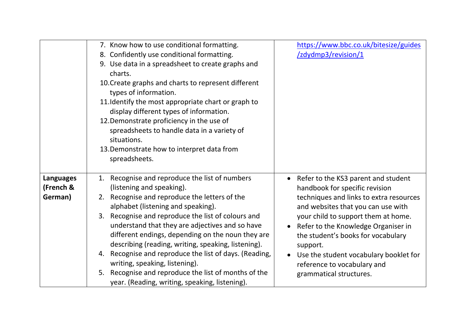|                  | 7. Know how to use conditional formatting.                  | https://www.bbc.co.uk/bitesize/guides   |
|------------------|-------------------------------------------------------------|-----------------------------------------|
|                  | 8. Confidently use conditional formatting.                  | /zdydmp3/revision/1                     |
|                  | 9. Use data in a spreadsheet to create graphs and           |                                         |
|                  | charts.                                                     |                                         |
|                  | 10. Create graphs and charts to represent different         |                                         |
|                  | types of information.                                       |                                         |
|                  | 11. Identify the most appropriate chart or graph to         |                                         |
|                  | display different types of information.                     |                                         |
|                  | 12. Demonstrate proficiency in the use of                   |                                         |
|                  | spreadsheets to handle data in a variety of                 |                                         |
|                  | situations.                                                 |                                         |
|                  | 13. Demonstrate how to interpret data from<br>spreadsheets. |                                         |
|                  |                                                             |                                         |
| <b>Languages</b> | Recognise and reproduce the list of numbers<br>1.           | Refer to the KS3 parent and student     |
| (French &        | (listening and speaking).                                   | handbook for specific revision          |
| German)          | Recognise and reproduce the letters of the<br>2.            | techniques and links to extra resources |
|                  | alphabet (listening and speaking).                          | and websites that you can use with      |
|                  | Recognise and reproduce the list of colours and<br>3.       | your child to support them at home.     |
|                  | understand that they are adjectives and so have             | Refer to the Knowledge Organiser in     |
|                  | different endings, depending on the noun they are           | the student's books for vocabulary      |
|                  | describing (reading, writing, speaking, listening).         | support.                                |
|                  | Recognise and reproduce the list of days. (Reading,<br>4.   | Use the student vocabulary booklet for  |
|                  | writing, speaking, listening).                              | reference to vocabulary and             |
|                  | Recognise and reproduce the list of months of the<br>5.     | grammatical structures.                 |
|                  | year. (Reading, writing, speaking, listening).              |                                         |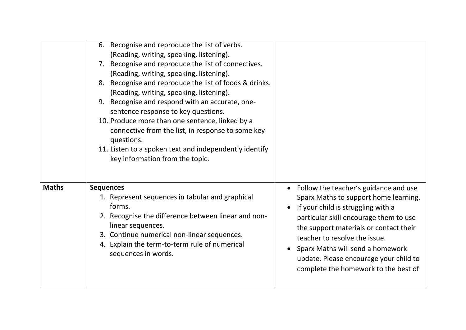|              | 6. Recognise and reproduce the list of verbs.<br>(Reading, writing, speaking, listening).<br>7. Recognise and reproduce the list of connectives.<br>(Reading, writing, speaking, listening).<br>8. Recognise and reproduce the list of foods & drinks.<br>(Reading, writing, speaking, listening).<br>Recognise and respond with an accurate, one-<br>9.<br>sentence response to key questions.<br>10. Produce more than one sentence, linked by a<br>connective from the list, in response to some key<br>questions.<br>11. Listen to a spoken text and independently identify<br>key information from the topic. |                                                                                                                                                                                                                                                                                                                                                                 |
|--------------|--------------------------------------------------------------------------------------------------------------------------------------------------------------------------------------------------------------------------------------------------------------------------------------------------------------------------------------------------------------------------------------------------------------------------------------------------------------------------------------------------------------------------------------------------------------------------------------------------------------------|-----------------------------------------------------------------------------------------------------------------------------------------------------------------------------------------------------------------------------------------------------------------------------------------------------------------------------------------------------------------|
| <b>Maths</b> | <b>Sequences</b><br>1. Represent sequences in tabular and graphical<br>forms.<br>2. Recognise the difference between linear and non-<br>linear sequences.<br>3. Continue numerical non-linear sequences.<br>4. Explain the term-to-term rule of numerical<br>sequences in words.                                                                                                                                                                                                                                                                                                                                   | Follow the teacher's guidance and use<br>Sparx Maths to support home learning.<br>If your child is struggling with a<br>particular skill encourage them to use<br>the support materials or contact their<br>teacher to resolve the issue.<br>Sparx Maths will send a homework<br>update. Please encourage your child to<br>complete the homework to the best of |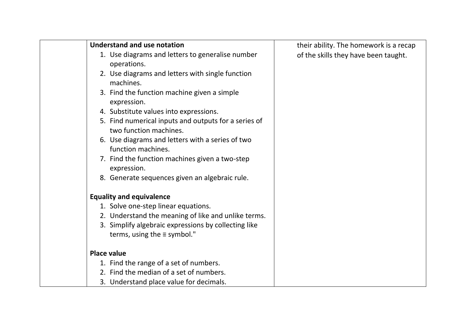| <b>Understand and use notation</b>                                                         | their ability. The homework is a recap |
|--------------------------------------------------------------------------------------------|----------------------------------------|
| 1. Use diagrams and letters to generalise number                                           | of the skills they have been taught.   |
| operations.                                                                                |                                        |
| 2. Use diagrams and letters with single function<br>machines.                              |                                        |
| 3. Find the function machine given a simple<br>expression.                                 |                                        |
| 4. Substitute values into expressions.                                                     |                                        |
| 5. Find numerical inputs and outputs for a series of<br>two function machines.             |                                        |
| 6. Use diagrams and letters with a series of two<br>function machines.                     |                                        |
| 7. Find the function machines given a two-step<br>expression.                              |                                        |
| 8. Generate sequences given an algebraic rule.                                             |                                        |
| <b>Equality and equivalence</b>                                                            |                                        |
| 1. Solve one-step linear equations.                                                        |                                        |
| 2. Understand the meaning of like and unlike terms.                                        |                                        |
| 3. Simplify algebraic expressions by collecting like<br>terms, using the $\equiv$ symbol." |                                        |
| <b>Place value</b>                                                                         |                                        |
| 1. Find the range of a set of numbers.                                                     |                                        |
| 2. Find the median of a set of numbers.                                                    |                                        |
| 3. Understand place value for decimals.                                                    |                                        |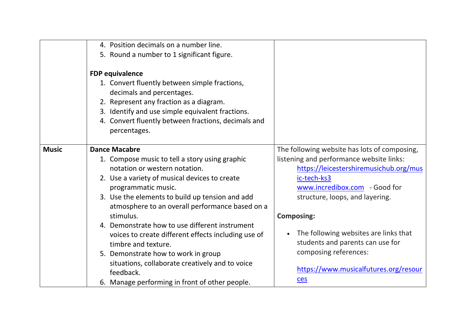|              | 4. Position decimals on a number line.<br>5. Round a number to 1 significant figure.                                                                                                                                                                                                               |                                                                                                                                                                                                                                            |
|--------------|----------------------------------------------------------------------------------------------------------------------------------------------------------------------------------------------------------------------------------------------------------------------------------------------------|--------------------------------------------------------------------------------------------------------------------------------------------------------------------------------------------------------------------------------------------|
|              | <b>FDP equivalence</b><br>1. Convert fluently between simple fractions,<br>decimals and percentages.<br>2. Represent any fraction as a diagram.<br>3. Identify and use simple equivalent fractions.<br>4. Convert fluently between fractions, decimals and<br>percentages.                         |                                                                                                                                                                                                                                            |
| <b>Music</b> | <b>Dance Macabre</b><br>1. Compose music to tell a story using graphic<br>notation or western notation.<br>2. Use a variety of musical devices to create<br>programmatic music.<br>3. Use the elements to build up tension and add<br>atmosphere to an overall performance based on a<br>stimulus. | The following website has lots of composing,<br>listening and performance website links:<br>https://leicestershiremusichub.org/mus<br>ic-tech-ks3<br>www.incredibox.com - Good for<br>structure, loops, and layering.<br><b>Composing:</b> |
|              | 4. Demonstrate how to use different instrument<br>voices to create different effects including use of<br>timbre and texture.<br>5. Demonstrate how to work in group<br>situations, collaborate creatively and to voice<br>feedback.<br>6. Manage performing in front of other people.              | The following websites are links that<br>students and parents can use for<br>composing references:<br>https://www.musicalfutures.org/resour<br>ces                                                                                         |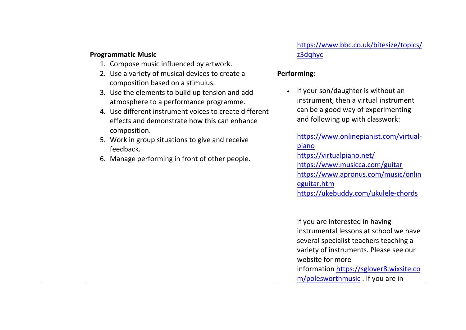#### **Programmatic Music**

- 1. Compose music influenced by artwork.
- 2. Use a variety of musical devices to create a composition based on a stimulus.
- 3. Use the elements to build up tension and add atmosphere to a performance programme.
- 4. Use different instrument voices to create different effects and demonstrate how this can enhance composition.
- 5. Work in group situations to give and receive feedback.
- 6. Manage performing in front of other people.

### [https://www.bbc.co.uk/bitesize/topics/](https://www.bbc.co.uk/bitesize/topics/z3dqhyc) z3dahvc

#### **Performing:**

• If your son/daughter is without an instrument, then a virtual instrument can be a good way of experimenting and following up with classwork:

[https://www.onlinepianist.com/virtual](https://www.onlinepianist.com/virtual-piano)[piano](https://www.onlinepianist.com/virtual-piano) <https://virtualpiano.net/> <https://www.musicca.com/guitar> [https://www.apronus.com/music/onlin](https://www.apronus.com/music/onlineguitar.htm) [eguitar.htm](https://www.apronus.com/music/onlineguitar.htm) <https://ukebuddy.com/ukulele-chords>

If you are interested in having instrumental lessons at school we have several specialist teachers teaching a variety of instruments. Please see our website for more information [https://sglover8.wixsite.co](https://sglover8.wixsite.com/polesworthmusic) [m/polesworthmusic](https://sglover8.wixsite.com/polesworthmusic) . If you are in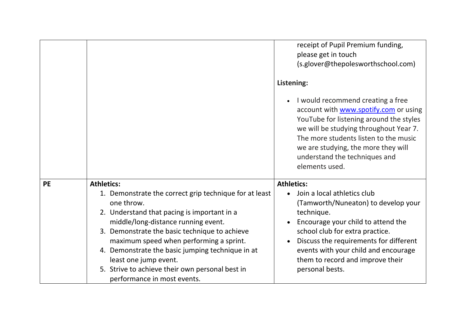|           |                                                                                                                                                                                                                                                                                                                                                                                                                                            | receipt of Pupil Premium funding,<br>please get in touch<br>(s.glover@thepolesworthschool.com)<br>Listening:<br>I would recommend creating a free<br>account with www.spotify.com or using<br>YouTube for listening around the styles<br>we will be studying throughout Year 7.<br>The more students listen to the music<br>we are studying, the more they will<br>understand the techniques and<br>elements used. |
|-----------|--------------------------------------------------------------------------------------------------------------------------------------------------------------------------------------------------------------------------------------------------------------------------------------------------------------------------------------------------------------------------------------------------------------------------------------------|--------------------------------------------------------------------------------------------------------------------------------------------------------------------------------------------------------------------------------------------------------------------------------------------------------------------------------------------------------------------------------------------------------------------|
| <b>PE</b> | <b>Athletics:</b><br>1. Demonstrate the correct grip technique for at least<br>one throw.<br>2. Understand that pacing is important in a<br>middle/long-distance running event.<br>3. Demonstrate the basic technique to achieve<br>maximum speed when performing a sprint.<br>4. Demonstrate the basic jumping technique in at<br>least one jump event.<br>5. Strive to achieve their own personal best in<br>performance in most events. | <b>Athletics:</b><br>Join a local athletics club<br>(Tamworth/Nuneaton) to develop your<br>technique.<br>Encourage your child to attend the<br>school club for extra practice.<br>Discuss the requirements for different<br>events with your child and encourage<br>them to record and improve their<br>personal bests.                                                                                            |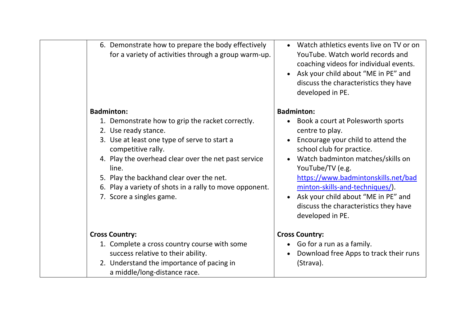| 6. Demonstrate how to prepare the body effectively<br>for a variety of activities through a group warm-up.                                                                                                                                                                                                                                                              | Watch athletics events live on TV or on<br>YouTube. Watch world records and<br>coaching videos for individual events.<br>• Ask your child about "ME in PE" and<br>discuss the characteristics they have<br>developed in PE.                                                                                                                                                           |
|-------------------------------------------------------------------------------------------------------------------------------------------------------------------------------------------------------------------------------------------------------------------------------------------------------------------------------------------------------------------------|---------------------------------------------------------------------------------------------------------------------------------------------------------------------------------------------------------------------------------------------------------------------------------------------------------------------------------------------------------------------------------------|
| <b>Badminton:</b><br>1. Demonstrate how to grip the racket correctly.<br>2. Use ready stance.<br>3. Use at least one type of serve to start a<br>competitive rally.<br>4. Play the overhead clear over the net past service<br>line.<br>5. Play the backhand clear over the net.<br>6. Play a variety of shots in a rally to move opponent.<br>7. Score a singles game. | <b>Badminton:</b><br>• Book a court at Polesworth sports<br>centre to play.<br>Encourage your child to attend the<br>school club for practice.<br>Watch badminton matches/skills on<br>YouTube/TV (e.g.<br>https://www.badmintonskills.net/bad<br>minton-skills-and-techniques/).<br>Ask your child about "ME in PE" and<br>discuss the characteristics they have<br>developed in PE. |
| <b>Cross Country:</b><br>1. Complete a cross country course with some<br>success relative to their ability.<br>2. Understand the importance of pacing in<br>a middle/long-distance race.                                                                                                                                                                                | <b>Cross Country:</b><br>• Go for a run as a family.<br>Download free Apps to track their runs<br>(Strava).                                                                                                                                                                                                                                                                           |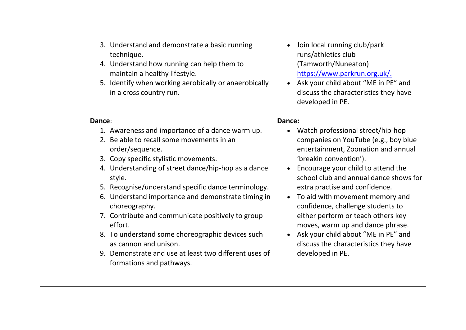|        | 3. Understand and demonstrate a basic running         |      |
|--------|-------------------------------------------------------|------|
|        | technique.                                            |      |
|        | 4. Understand how running can help them to            |      |
|        | maintain a healthy lifestyle.                         |      |
|        | 5. Identify when working aerobically or anaerobically |      |
|        | in a cross country run.                               |      |
|        |                                                       |      |
|        |                                                       |      |
| Dance: |                                                       | Danc |
|        | 1. Awareness and importance of a dance warm up.       |      |
|        | 2. Be able to recall some movements in an             |      |
|        | order/sequence.                                       |      |
|        | 3. Copy specific stylistic movements.                 |      |
|        | 4. Understanding of street dance/hip-hop as a dance   |      |
|        | style.                                                |      |
|        | 5. Recognise/understand specific dance terminology.   |      |
|        | 6. Understand importance and demonstrate timing in    |      |
|        | choreography.                                         |      |
|        | 7. Contribute and communicate positively to group     |      |
|        | effort.                                               |      |
|        | 8. To understand some choreographic devices such      |      |
|        | as cannon and unison.                                 |      |
|        |                                                       |      |
|        | 9. Demonstrate and use at least two different uses of |      |
|        | formations and pathways.                              |      |
|        |                                                       |      |
|        |                                                       |      |

- Join local running club/park runs/athletics club (Tamworth/Nuneaton) [https://www.parkrun.org.uk/.](https://www.parkrun.org.uk/)
- Ask your child about "ME in PE" and discuss the characteristics they have developed in PE.

#### **Dance:**

- Watch professional street/hip-hop companies on YouTube (e.g., boy blue entertainment, Zoonation and annual 'breakin convention').
- Encourage your child to attend the school club and annual dance shows for extra practise and confidence.
- To aid with movement memory and confidence, challenge students to either perform or teach others key moves, warm up and dance phrase.
- Ask your child about "ME in PE" and discuss the characteristics they have developed in PE.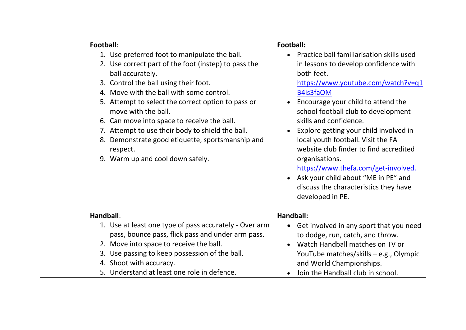| Football:                                                                                                                                                                                                                                                                                                                                                                                                                                                                                          | Football:                                                                                                                                                                                                                                                                                                                                                                                                                                                                                                                                                      |
|----------------------------------------------------------------------------------------------------------------------------------------------------------------------------------------------------------------------------------------------------------------------------------------------------------------------------------------------------------------------------------------------------------------------------------------------------------------------------------------------------|----------------------------------------------------------------------------------------------------------------------------------------------------------------------------------------------------------------------------------------------------------------------------------------------------------------------------------------------------------------------------------------------------------------------------------------------------------------------------------------------------------------------------------------------------------------|
| 1. Use preferred foot to manipulate the ball.<br>2. Use correct part of the foot (instep) to pass the<br>ball accurately.<br>3. Control the ball using their foot.<br>4. Move with the ball with some control.<br>5. Attempt to select the correct option to pass or<br>move with the ball.<br>6. Can move into space to receive the ball.<br>7. Attempt to use their body to shield the ball.<br>8. Demonstrate good etiquette, sportsmanship and<br>respect.<br>9. Warm up and cool down safely. | Practice ball familiarisation skills used<br>in lessons to develop confidence with<br>both feet.<br>https://www.youtube.com/watch?v=q1<br>B4is3faOM<br>Encourage your child to attend the<br>school football club to development<br>skills and confidence.<br>Explore getting your child involved in<br>local youth football. Visit the FA<br>website club finder to find accredited<br>organisations.<br>https://www.thefa.com/get-involved.<br>Ask your child about "ME in PE" and<br>$\bullet$<br>discuss the characteristics they have<br>developed in PE. |
| Handball:                                                                                                                                                                                                                                                                                                                                                                                                                                                                                          | Handball:                                                                                                                                                                                                                                                                                                                                                                                                                                                                                                                                                      |
| 1. Use at least one type of pass accurately - Over arm<br>pass, bounce pass, flick pass and under arm pass.<br>2. Move into space to receive the ball.<br>3. Use passing to keep possession of the ball.<br>4. Shoot with accuracy.<br>5. Understand at least one role in defence.                                                                                                                                                                                                                 | • Get involved in any sport that you need<br>to dodge, run, catch, and throw.<br>Watch Handball matches on TV or<br>YouTube matches/skills - e.g., Olympic<br>and World Championships.<br>Join the Handball club in school.                                                                                                                                                                                                                                                                                                                                    |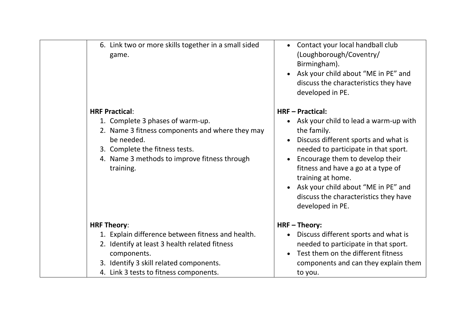| 6. Link two or more skills together in a small sided<br>game.                                                                                                                                                             | Contact your local handball club<br>$\bullet$<br>(Loughborough/Coventry/<br>Birmingham).<br>Ask your child about "ME in PE" and<br>discuss the characteristics they have<br>developed in PE.                                                                                                                                                                                              |
|---------------------------------------------------------------------------------------------------------------------------------------------------------------------------------------------------------------------------|-------------------------------------------------------------------------------------------------------------------------------------------------------------------------------------------------------------------------------------------------------------------------------------------------------------------------------------------------------------------------------------------|
| <b>HRF Practical:</b><br>1. Complete 3 phases of warm-up.<br>2. Name 3 fitness components and where they may<br>be needed.<br>3. Complete the fitness tests.<br>4. Name 3 methods to improve fitness through<br>training. | <b>HRF-Practical:</b><br>Ask your child to lead a warm-up with<br>the family.<br>Discuss different sports and what is<br>$\bullet$<br>needed to participate in that sport.<br>Encourage them to develop their<br>fitness and have a go at a type of<br>training at home.<br>Ask your child about "ME in PE" and<br>$\bullet$<br>discuss the characteristics they have<br>developed in PE. |
| <b>HRF Theory:</b>                                                                                                                                                                                                        | HRF-Theory:                                                                                                                                                                                                                                                                                                                                                                               |
| 1. Explain difference between fitness and health.<br>2. Identify at least 3 health related fitness<br>components.<br>3. Identify 3 skill related components.<br>4. Link 3 tests to fitness components.                    | Discuss different sports and what is<br>$\bullet$<br>needed to participate in that sport.<br>Test them on the different fitness<br>components and can they explain them<br>to you.                                                                                                                                                                                                        |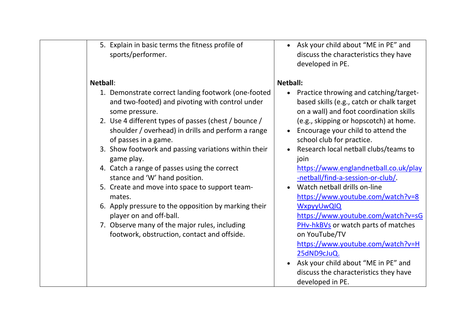| 5. Explain in basic terms the fitness profile of<br>sports/performer.                                                                      | • Ask your child about "ME in PE" and<br>discuss the characteristics they have<br>developed in PE.                      |
|--------------------------------------------------------------------------------------------------------------------------------------------|-------------------------------------------------------------------------------------------------------------------------|
| Netball:<br>1. Demonstrate correct landing footwork (one-footed<br>and two-footed) and pivoting with control under                         | <b>Netball:</b><br>Practice throwing and catching/target-<br>$\bullet$<br>based skills (e.g., catch or chalk target     |
| some pressure.<br>2. Use 4 different types of passes (chest / bounce /<br>shoulder / overhead) in drills and perform a range               | on a wall) and foot coordination skills<br>(e.g., skipping or hopscotch) at home.<br>Encourage your child to attend the |
| of passes in a game.<br>3. Show footwork and passing variations within their<br>game play.<br>4. Catch a range of passes using the correct | school club for practice.<br>Research local netball clubs/teams to<br>join<br>https://www.englandnetball.co.uk/play     |
| stance and 'W' hand position.<br>5. Create and move into space to support team-<br>mates.                                                  | -netball/find-a-session-or-club/.<br>Watch netball drills on-line<br>https://www.youtube.com/watch?v=8                  |
| 6. Apply pressure to the opposition by marking their<br>player on and off-ball.<br>7. Observe many of the major rules, including           | <b>WxpyyUwQIQ</b><br>https://www.youtube.com/watch?v=sG<br><b>PHv-hkBVs</b> or watch parts of matches                   |
| footwork, obstruction, contact and offside.                                                                                                | on YouTube/TV<br>https://www.youtube.com/watch?v=H<br>25dND9cJuQ.                                                       |
|                                                                                                                                            | • Ask your child about "ME in PE" and<br>discuss the characteristics they have<br>developed in PE.                      |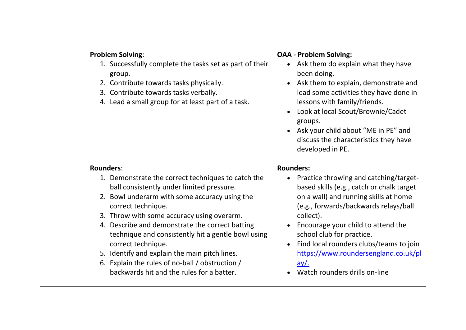| <b>Problem Solving:</b><br>1. Successfully complete the tasks set as part of their<br>group.<br>2. Contribute towards tasks physically.<br>3. Contribute towards tasks verbally.<br>4. Lead a small group for at least part of a task.                                                                                                                                                                                                                                                               | <b>OAA - Problem Solving:</b><br>• Ask them do explain what they have<br>been doing.<br>Ask them to explain, demonstrate and<br>$\bullet$<br>lead some activities they have done in<br>lessons with family/friends.<br>Look at local Scout/Brownie/Cadet<br>groups.<br>Ask your child about "ME in PE" and<br>discuss the characteristics they have<br>developed in PE.                                 |
|------------------------------------------------------------------------------------------------------------------------------------------------------------------------------------------------------------------------------------------------------------------------------------------------------------------------------------------------------------------------------------------------------------------------------------------------------------------------------------------------------|---------------------------------------------------------------------------------------------------------------------------------------------------------------------------------------------------------------------------------------------------------------------------------------------------------------------------------------------------------------------------------------------------------|
| <b>Rounders:</b>                                                                                                                                                                                                                                                                                                                                                                                                                                                                                     | <b>Rounders:</b>                                                                                                                                                                                                                                                                                                                                                                                        |
| 1. Demonstrate the correct techniques to catch the<br>ball consistently under limited pressure.<br>2. Bowl underarm with some accuracy using the<br>correct technique.<br>3. Throw with some accuracy using overarm.<br>4. Describe and demonstrate the correct batting<br>technique and consistently hit a gentle bowl using<br>correct technique.<br>5. Identify and explain the main pitch lines.<br>6. Explain the rules of no-ball / obstruction /<br>backwards hit and the rules for a batter. | • Practice throwing and catching/target-<br>based skills (e.g., catch or chalk target<br>on a wall) and running skills at home<br>(e.g., forwards/backwards relays/ball<br>collect).<br>Encourage your child to attend the<br>school club for practice.<br>Find local rounders clubs/teams to join<br>$\bullet$<br>https://www.roundersengland.co.uk/pl<br><u>ay/.</u><br>Watch rounders drills on-line |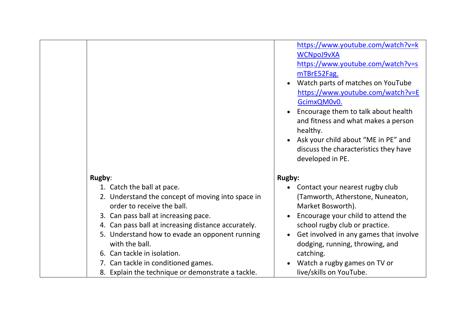|                                                                                                                                                                                                                                                                                                                                                                                                             | https://www.youtube.com/watch?v=k<br><b>WCNpoJ9vXA</b><br>https://www.youtube.com/watch?v=s<br>mTBrE52Fag.<br>Watch parts of matches on YouTube<br>https://www.youtube.com/watch?v=E<br>GcimxQM0v0.<br>Encourage them to talk about health<br>and fitness and what makes a person<br>healthy.<br>Ask your child about "ME in PE" and<br>discuss the characteristics they have<br>developed in PE. |
|-------------------------------------------------------------------------------------------------------------------------------------------------------------------------------------------------------------------------------------------------------------------------------------------------------------------------------------------------------------------------------------------------------------|---------------------------------------------------------------------------------------------------------------------------------------------------------------------------------------------------------------------------------------------------------------------------------------------------------------------------------------------------------------------------------------------------|
| Rugby:                                                                                                                                                                                                                                                                                                                                                                                                      | <b>Rugby:</b>                                                                                                                                                                                                                                                                                                                                                                                     |
| 1. Catch the ball at pace.<br>2. Understand the concept of moving into space in<br>order to receive the ball.<br>3. Can pass ball at increasing pace.<br>4. Can pass ball at increasing distance accurately.<br>5. Understand how to evade an opponent running<br>with the ball.<br>6. Can tackle in isolation.<br>7. Can tackle in conditioned games.<br>8. Explain the technique or demonstrate a tackle. | Contact your nearest rugby club<br>(Tamworth, Atherstone, Nuneaton,<br>Market Bosworth).<br>Encourage your child to attend the<br>school rugby club or practice.<br>Get involved in any games that involve<br>$\bullet$<br>dodging, running, throwing, and<br>catching.<br>Watch a rugby games on TV or<br>live/skills on YouTube.                                                                |

**T**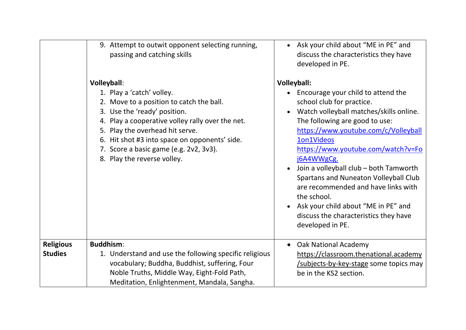|                                    | 9. Attempt to outwit opponent selecting running,<br>passing and catching skills                                                                                                                                                                                                                                                              | Ask your child about "ME in PE" and<br>discuss the characteristics they have<br>developed in PE.                                                                                                                                                                                                                                                                                                                                                                                                                          |
|------------------------------------|----------------------------------------------------------------------------------------------------------------------------------------------------------------------------------------------------------------------------------------------------------------------------------------------------------------------------------------------|---------------------------------------------------------------------------------------------------------------------------------------------------------------------------------------------------------------------------------------------------------------------------------------------------------------------------------------------------------------------------------------------------------------------------------------------------------------------------------------------------------------------------|
|                                    | <b>Volleyball:</b><br>1. Play a 'catch' volley.<br>2. Move to a position to catch the ball.<br>3. Use the 'ready' position.<br>4. Play a cooperative volley rally over the net.<br>5. Play the overhead hit serve.<br>6. Hit shot #3 into space on opponents' side.<br>7. Score a basic game (e.g. 2v2, 3v3).<br>8. Play the reverse volley. | <b>Volleyball:</b><br>Encourage your child to attend the<br>school club for practice.<br>Watch volleyball matches/skills online.<br>The following are good to use:<br>https://www.youtube.com/c/Volleyball<br>1on1Videos<br>https://www.youtube.com/watch?v=Fo<br>j6A4WWgCg.<br>Join a volleyball club – both Tamworth<br>Spartans and Nuneaton Volleyball Club<br>are recommended and have links with<br>the school.<br>Ask your child about "ME in PE" and<br>discuss the characteristics they have<br>developed in PE. |
| <b>Religious</b><br><b>Studies</b> | <b>Buddhism:</b><br>1. Understand and use the following specific religious<br>vocabulary; Buddha, Buddhist, suffering, Four<br>Noble Truths, Middle Way, Eight-Fold Path,<br>Meditation, Enlightenment, Mandala, Sangha.                                                                                                                     | <b>Oak National Academy</b><br>https://classroom.thenational.academy<br>/subjects-by-key-stage some topics may<br>be in the KS2 section.                                                                                                                                                                                                                                                                                                                                                                                  |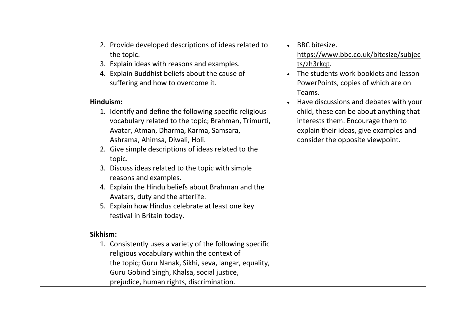| 2. Provide developed descriptions of ideas related to                                                                                                                                                                                                                                                                                                                                                                                                                                                                 | <b>BBC</b> bitesize.                                                                                                                                       |
|-----------------------------------------------------------------------------------------------------------------------------------------------------------------------------------------------------------------------------------------------------------------------------------------------------------------------------------------------------------------------------------------------------------------------------------------------------------------------------------------------------------------------|------------------------------------------------------------------------------------------------------------------------------------------------------------|
| the topic.                                                                                                                                                                                                                                                                                                                                                                                                                                                                                                            | https://www.bbc.co.uk/bitesize/subjec                                                                                                                      |
| 3. Explain ideas with reasons and examples.                                                                                                                                                                                                                                                                                                                                                                                                                                                                           | ts/zh3rkqt.                                                                                                                                                |
| 4. Explain Buddhist beliefs about the cause of                                                                                                                                                                                                                                                                                                                                                                                                                                                                        | The students work booklets and lesson                                                                                                                      |
| suffering and how to overcome it.                                                                                                                                                                                                                                                                                                                                                                                                                                                                                     | PowerPoints, copies of which are on                                                                                                                        |
|                                                                                                                                                                                                                                                                                                                                                                                                                                                                                                                       | Teams.                                                                                                                                                     |
| Hinduism:                                                                                                                                                                                                                                                                                                                                                                                                                                                                                                             | Have discussions and debates with your                                                                                                                     |
| 1. Identify and define the following specific religious<br>vocabulary related to the topic; Brahman, Trimurti,<br>Avatar, Atman, Dharma, Karma, Samsara,<br>Ashrama, Ahimsa, Diwali, Holi.<br>2. Give simple descriptions of ideas related to the<br>topic.<br>3. Discuss ideas related to the topic with simple<br>reasons and examples.<br>4. Explain the Hindu beliefs about Brahman and the<br>Avatars, duty and the afterlife.<br>5. Explain how Hindus celebrate at least one key<br>festival in Britain today. | child, these can be about anything that<br>interests them. Encourage them to<br>explain their ideas, give examples and<br>consider the opposite viewpoint. |
|                                                                                                                                                                                                                                                                                                                                                                                                                                                                                                                       |                                                                                                                                                            |
| Sikhism:                                                                                                                                                                                                                                                                                                                                                                                                                                                                                                              |                                                                                                                                                            |
| 1. Consistently uses a variety of the following specific                                                                                                                                                                                                                                                                                                                                                                                                                                                              |                                                                                                                                                            |
| religious vocabulary within the context of                                                                                                                                                                                                                                                                                                                                                                                                                                                                            |                                                                                                                                                            |
| the topic; Guru Nanak, Sikhi, seva, langar, equality,                                                                                                                                                                                                                                                                                                                                                                                                                                                                 |                                                                                                                                                            |
| Guru Gobind Singh, Khalsa, social justice,<br>prejudice, human rights, discrimination.                                                                                                                                                                                                                                                                                                                                                                                                                                |                                                                                                                                                            |
|                                                                                                                                                                                                                                                                                                                                                                                                                                                                                                                       |                                                                                                                                                            |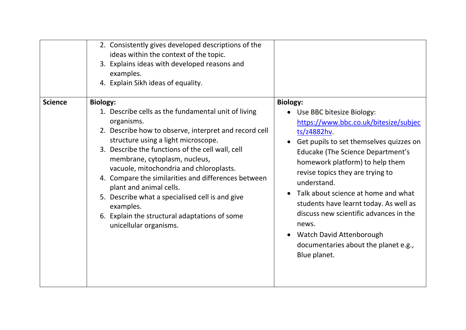|                | 2. Consistently gives developed descriptions of the<br>ideas within the context of the topic.<br>3. Explains ideas with developed reasons and<br>examples.<br>4. Explain Sikh ideas of equality.                                                                                                                                                                                                                                                                                                                                                  |                                                                                                                                                                                                                                                                                                                                                                                                                                                                                                      |
|----------------|---------------------------------------------------------------------------------------------------------------------------------------------------------------------------------------------------------------------------------------------------------------------------------------------------------------------------------------------------------------------------------------------------------------------------------------------------------------------------------------------------------------------------------------------------|------------------------------------------------------------------------------------------------------------------------------------------------------------------------------------------------------------------------------------------------------------------------------------------------------------------------------------------------------------------------------------------------------------------------------------------------------------------------------------------------------|
| <b>Science</b> | <b>Biology:</b><br>1. Describe cells as the fundamental unit of living<br>organisms.<br>2. Describe how to observe, interpret and record cell<br>structure using a light microscope.<br>3. Describe the functions of the cell wall, cell<br>membrane, cytoplasm, nucleus,<br>vacuole, mitochondria and chloroplasts.<br>4. Compare the similarities and differences between<br>plant and animal cells.<br>5. Describe what a specialised cell is and give<br>examples.<br>6. Explain the structural adaptations of some<br>unicellular organisms. | <b>Biology:</b><br>• Use BBC bitesize Biology:<br>https://www.bbc.co.uk/bitesize/subjec<br>ts/z4882hv.<br>Get pupils to set themselves quizzes on<br>Educake (The Science Department's<br>homework platform) to help them<br>revise topics they are trying to<br>understand.<br>Talk about science at home and what<br>students have learnt today. As well as<br>discuss new scientific advances in the<br>news.<br>Watch David Attenborough<br>documentaries about the planet e.g.,<br>Blue planet. |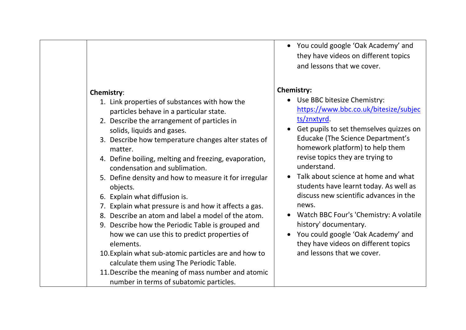#### **Chemistry**:

- 1. Link properties of substances with how the particles behave in a particular state.
- 2. Describe the arrangement of particles in solids, liquids and gases.
- 3. Describe how temperature changes alter states of matter.
- 4. Define boiling, melting and freezing, evaporation, condensation and sublimation.
- 5. Define density and how to measure it for irregular objects.
- 6. Explain what diffusion is.
- 7. Explain what pressure is and how it affects a gas.
- 8. Describe an atom and label a model of the atom.
- 9. Describe how the Periodic Table is grouped and how we can use this to predict properties of elements.
- 10.Explain what sub-atomic particles are and how to calculate them using The Periodic Table.
- 11.Describe the meaning of mass number and atomic number in terms of subatomic particles.

• You could google 'Oak Academy' and they have videos on different topics and lessons that we cover.

#### **Chemistry:**

- Use BBC bitesize Chemistry: [https://www.bbc.co.uk/bitesize/subjec](https://www.bbc.co.uk/bitesize/subjects/znxtyrd) [ts/znxtyrd.](https://www.bbc.co.uk/bitesize/subjects/znxtyrd)
- Get pupils to set themselves quizzes on Educake (The Science Department's homework platform) to help them revise topics they are trying to understand.
- Talk about science at home and what students have learnt today. As well as discuss new scientific advances in the news.
- Watch BBC Four's 'Chemistry: A volatile history' documentary.
- You could google 'Oak Academy' and they have videos on different topics and lessons that we cover.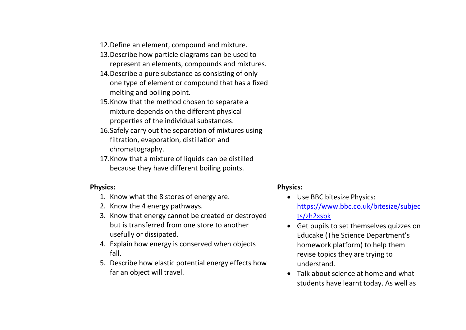| 12. Define an element, compound and mixture.<br>13. Describe how particle diagrams can be used to<br>represent an elements, compounds and mixtures.<br>14. Describe a pure substance as consisting of only<br>one type of element or compound that has a fixed<br>melting and boiling point.<br>15. Know that the method chosen to separate a<br>mixture depends on the different physical<br>properties of the individual substances.<br>16. Safely carry out the separation of mixtures using<br>filtration, evaporation, distillation and<br>chromatography.<br>17. Know that a mixture of liquids can be distilled<br>because they have different boiling points. |                                                                                                                                                                                                                                                                                                                                                             |
|-----------------------------------------------------------------------------------------------------------------------------------------------------------------------------------------------------------------------------------------------------------------------------------------------------------------------------------------------------------------------------------------------------------------------------------------------------------------------------------------------------------------------------------------------------------------------------------------------------------------------------------------------------------------------|-------------------------------------------------------------------------------------------------------------------------------------------------------------------------------------------------------------------------------------------------------------------------------------------------------------------------------------------------------------|
| <b>Physics:</b>                                                                                                                                                                                                                                                                                                                                                                                                                                                                                                                                                                                                                                                       | <b>Physics:</b>                                                                                                                                                                                                                                                                                                                                             |
| 1. Know what the 8 stores of energy are.<br>2. Know the 4 energy pathways.<br>3. Know that energy cannot be created or destroyed<br>but is transferred from one store to another<br>usefully or dissipated.<br>4. Explain how energy is conserved when objects<br>fall.<br>5. Describe how elastic potential energy effects how<br>far an object will travel.                                                                                                                                                                                                                                                                                                         | Use BBC bitesize Physics:<br>$\bullet$<br>https://www.bbc.co.uk/bitesize/subjec<br>ts/zh2xsbk<br>Get pupils to set themselves quizzes on<br><b>Educake (The Science Department's</b><br>homework platform) to help them<br>revise topics they are trying to<br>understand.<br>Talk about science at home and what<br>students have learnt today. As well as |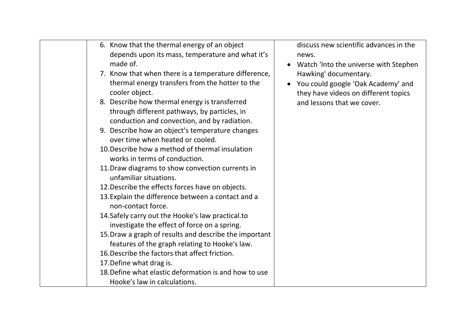| 6. Know that the thermal energy of an object<br>depends upon its mass, temperature and what it's<br>made of.<br>7. Know that when there is a temperature difference,<br>thermal energy transfers from the hotter to the<br>cooler object.<br>8. Describe how thermal energy is transferred<br>through different pathways, by particles, in<br>conduction and convection, and by radiation.<br>9. Describe how an object's temperature changes<br>over time when heated or cooled.<br>10. Describe how a method of thermal insulation<br>works in terms of conduction.<br>11. Draw diagrams to show convection currents in<br>unfamiliar situations.<br>12. Describe the effects forces have on objects.<br>13. Explain the difference between a contact and a<br>non-contact force.<br>14. Safely carry out the Hooke's law practical. to<br>investigate the effect of force on a spring.<br>15. Draw a graph of results and describe the important<br>features of the graph relating to Hooke's law.<br>16. Describe the factors that affect friction.<br>17. Define what drag is.<br>18. Define what elastic deformation is and how to use | discuss new scientific advances in the<br>news.<br>Watch 'Into the universe with Stephen<br>Hawking' documentary.<br>You could google 'Oak Academy' and<br>they have videos on different topics<br>and lessons that we cover. |  |
|----------------------------------------------------------------------------------------------------------------------------------------------------------------------------------------------------------------------------------------------------------------------------------------------------------------------------------------------------------------------------------------------------------------------------------------------------------------------------------------------------------------------------------------------------------------------------------------------------------------------------------------------------------------------------------------------------------------------------------------------------------------------------------------------------------------------------------------------------------------------------------------------------------------------------------------------------------------------------------------------------------------------------------------------------------------------------------------------------------------------------------------------|-------------------------------------------------------------------------------------------------------------------------------------------------------------------------------------------------------------------------------|--|
| Hooke's law in calculations.                                                                                                                                                                                                                                                                                                                                                                                                                                                                                                                                                                                                                                                                                                                                                                                                                                                                                                                                                                                                                                                                                                                 |                                                                                                                                                                                                                               |  |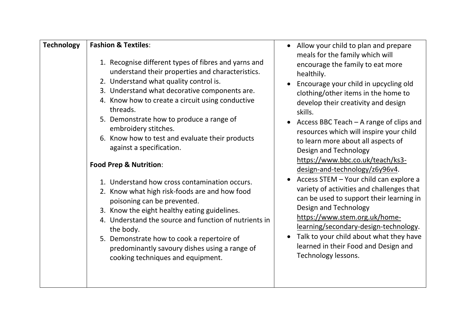| <b>Technology</b><br><b>Fashion &amp; Textiles:</b><br>1. Recognise different types of fibres and yarns and<br>understand their properties and characteristics.<br>2. Understand what quality control is.<br>3. Understand what decorative components are.<br>4. Know how to create a circuit using conductive<br>threads.<br>5. Demonstrate how to produce a range of<br>embroidery stitches.<br>6. Know how to test and evaluate their products<br>against a specification.<br><b>Food Prep &amp; Nutrition:</b><br>1. Understand how cross contamination occurs.<br>2. Know what high risk-foods are and how food<br>poisoning can be prevented.<br>3. Know the eight healthy eating guidelines.<br>4. Understand the source and function of nutrients in<br>the body.<br>5. Demonstrate how to cook a repertoire of<br>predominantly savoury dishes using a range of<br>cooking techniques and equipment. | • Allow your child to plan and prepare<br>meals for the family which will<br>encourage the family to eat more<br>healthily.<br>Encourage your child in upcycling old<br>clothing/other items in the home to<br>develop their creativity and design<br>skills.<br>Access BBC Teach - A range of clips and<br>resources which will inspire your child<br>to learn more about all aspects of<br>Design and Technology<br>https://www.bbc.co.uk/teach/ks3-<br>design-and-technology/z6y96v4.<br>Access STEM - Your child can explore a<br>variety of activities and challenges that<br>can be used to support their learning in<br>Design and Technology<br>https://www.stem.org.uk/home-<br>learning/secondary-design-technology.<br>Talk to your child about what they have<br>learned in their Food and Design and<br>Technology lessons. |
|---------------------------------------------------------------------------------------------------------------------------------------------------------------------------------------------------------------------------------------------------------------------------------------------------------------------------------------------------------------------------------------------------------------------------------------------------------------------------------------------------------------------------------------------------------------------------------------------------------------------------------------------------------------------------------------------------------------------------------------------------------------------------------------------------------------------------------------------------------------------------------------------------------------|------------------------------------------------------------------------------------------------------------------------------------------------------------------------------------------------------------------------------------------------------------------------------------------------------------------------------------------------------------------------------------------------------------------------------------------------------------------------------------------------------------------------------------------------------------------------------------------------------------------------------------------------------------------------------------------------------------------------------------------------------------------------------------------------------------------------------------------|
|---------------------------------------------------------------------------------------------------------------------------------------------------------------------------------------------------------------------------------------------------------------------------------------------------------------------------------------------------------------------------------------------------------------------------------------------------------------------------------------------------------------------------------------------------------------------------------------------------------------------------------------------------------------------------------------------------------------------------------------------------------------------------------------------------------------------------------------------------------------------------------------------------------------|------------------------------------------------------------------------------------------------------------------------------------------------------------------------------------------------------------------------------------------------------------------------------------------------------------------------------------------------------------------------------------------------------------------------------------------------------------------------------------------------------------------------------------------------------------------------------------------------------------------------------------------------------------------------------------------------------------------------------------------------------------------------------------------------------------------------------------------|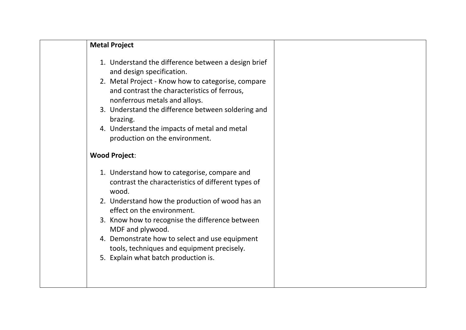| <b>Metal Project</b>                                                                                                                                                                                                                                                                                                                                                                                        |  |
|-------------------------------------------------------------------------------------------------------------------------------------------------------------------------------------------------------------------------------------------------------------------------------------------------------------------------------------------------------------------------------------------------------------|--|
| 1. Understand the difference between a design brief<br>and design specification.<br>2. Metal Project - Know how to categorise, compare<br>and contrast the characteristics of ferrous,<br>nonferrous metals and alloys.<br>3. Understand the difference between soldering and<br>brazing.<br>4. Understand the impacts of metal and metal<br>production on the environment.                                 |  |
| <b>Wood Project:</b>                                                                                                                                                                                                                                                                                                                                                                                        |  |
| 1. Understand how to categorise, compare and<br>contrast the characteristics of different types of<br>wood.<br>2. Understand how the production of wood has an<br>effect on the environment.<br>3. Know how to recognise the difference between<br>MDF and plywood.<br>4. Demonstrate how to select and use equipment<br>tools, techniques and equipment precisely.<br>5. Explain what batch production is. |  |